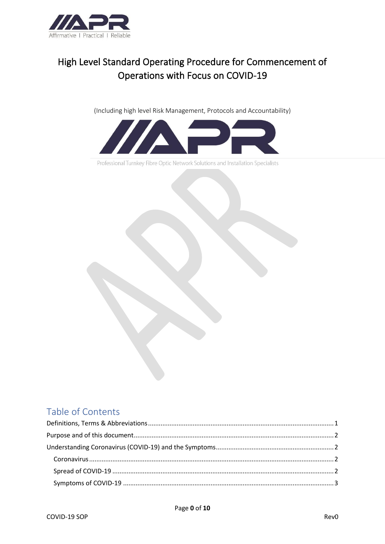

# High Level Standard Operating Procedure for Commencement of Operations with Focus on COVID-19

(Including high level Risk Management, Protocols and Accountability)



Professional Turnkey Fibre Optic Network Solutions and Installation Specialists

## Table of Contents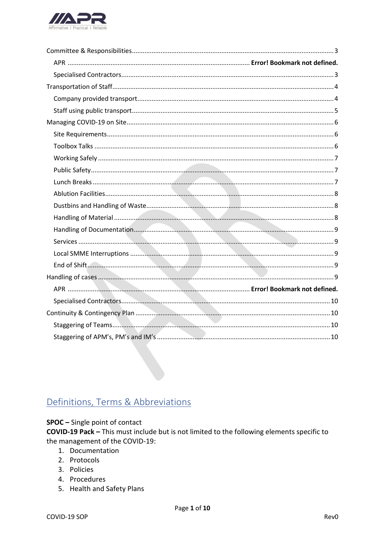

# <span id="page-1-0"></span>Definitions, Terms & Abbreviations

#### SPOC - Single point of contact

COVID-19 Pack - This must include but is not limited to the following elements specific to the management of the COVID-19:

- 1. Documentation
- 2. Protocols
- 3. Policies
- 4. Procedures
- 5. Health and Safety Plans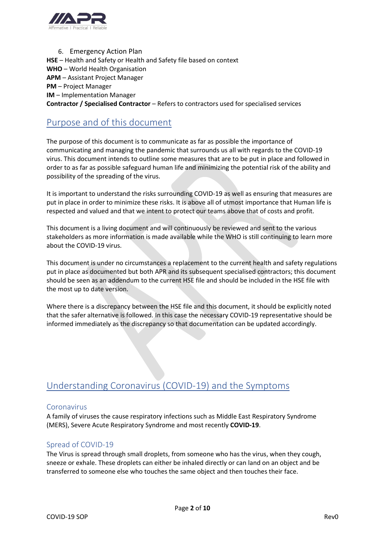

6. Emergency Action Plan **HSE** – Health and Safety or Health and Safety file based on context **WHO** – World Health Organisation **APM** – Assistant Project Manager **PM** – Project Manager **IM** – Implementation Manager **Contractor / Specialised Contractor** – Refers to contractors used for specialised services

## <span id="page-2-0"></span>Purpose and of this document

The purpose of this document is to communicate as far as possible the importance of communicating and managing the pandemic that surrounds us all with regards to the COVID-19 virus. This document intends to outline some measures that are to be put in place and followed in order to as far as possible safeguard human life and minimizing the potential risk of the ability and possibility of the spreading of the virus.

It is important to understand the risks surrounding COVID-19 as well as ensuring that measures are put in place in order to minimize these risks. It is above all of utmost importance that Human life is respected and valued and that we intent to protect our teams above that of costs and profit.

This document is a living document and will continuously be reviewed and sent to the various stakeholders as more information is made available while the WHO is still continuing to learn more about the COVID-19 virus.

This document is under no circumstances a replacement to the current health and safety regulations put in place as documented but both APR and its subsequent specialised contractors; this document should be seen as an addendum to the current HSE file and should be included in the HSE file with the most up to date version.

Where there is a discrepancy between the HSE file and this document, it should be explicitly noted that the safer alternative is followed. In this case the necessary COVID-19 representative should be informed immediately as the discrepancy so that documentation can be updated accordingly.

### <span id="page-2-1"></span>Understanding Coronavirus (COVID-19) and the Symptoms

#### <span id="page-2-2"></span>Coronavirus

A family of viruses the cause respiratory infections such as Middle East Respiratory Syndrome (MERS), Severe Acute Respiratory Syndrome and most recently **COVID-19**.

#### <span id="page-2-3"></span>Spread of COVID-19

The Virus is spread through small droplets, from someone who has the virus, when they cough, sneeze or exhale. These droplets can either be inhaled directly or can land on an object and be transferred to someone else who touches the same object and then touches their face.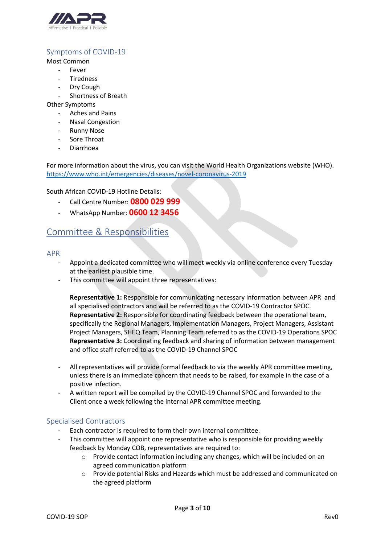

### <span id="page-3-0"></span>Symptoms of COVID-19

Most Common

- **Fever**
- **Tiredness**
- Dry Cough
- Shortness of Breath

Other Symptoms

- Aches and Pains
- Nasal Congestion
- **Runny Nose**
- Sore Throat
- Diarrhoea

For more information about the virus, you can visit the World Health Organizations website (WHO). <https://www.who.int/emergencies/diseases/novel-coronavirus-2019>

South African COVID-19 Hotline Details:

- Call Centre Number: **0800 029 999**
- WhatsApp Number: **0600 12 3456**

### <span id="page-3-1"></span>Committee & Responsibilities

#### APR

- Appoint a dedicated committee who will meet weekly via online conference every Tuesday at the earliest plausible time.
- This committee will appoint three representatives:

**Representative 1:** Responsible for communicating necessary information between APR and all specialised contractors and will be referred to as the COVID-19 Contractor SPOC. **Representative 2:** Responsible for coordinating feedback between the operational team, specifically the Regional Managers, Implementation Managers, Project Managers, Assistant Project Managers, SHEQ Team, Planning Team referred to as the COVID-19 Operations SPOC **Representative 3:** Coordinating feedback and sharing of information between management and office staff referred to as the COVID-19 Channel SPOC

- All representatives will provide formal feedback to via the weekly APR committee meeting, unless there is an immediate concern that needs to be raised, for example in the case of a positive infection.
- A written report will be compiled by the COVID-19 Channel SPOC and forwarded to the Client once a week following the internal APR committee meeting.

#### <span id="page-3-2"></span>Specialised Contractors

- Each contractor is required to form their own internal committee.
- This committee will appoint one representative who is responsible for providing weekly feedback by Monday COB, representatives are required to:
	- $\circ$  Provide contact information including any changes, which will be included on an agreed communication platform
	- o Provide potential Risks and Hazards which must be addressed and communicated on the agreed platform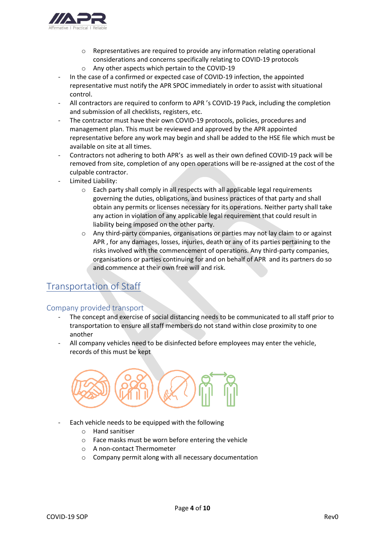

- o Representatives are required to provide any information relating operational considerations and concerns specifically relating to COVID-19 protocols o Any other aspects which pertain to the COVID-19
- In the case of a confirmed or expected case of COVID-19 infection, the appointed representative must notify the APR SPOC immediately in order to assist with situational control.
- All contractors are required to conform to APR 's COVID-19 Pack, including the completion and submission of all checklists, registers, etc.
- The contractor must have their own COVID-19 protocols, policies, procedures and management plan. This must be reviewed and approved by the APR appointed representative before any work may begin and shall be added to the HSE file which must be available on site at all times.
- Contractors not adhering to both APR's as well as their own defined COVID-19 pack will be removed from site, completion of any open operations will be re-assigned at the cost of the culpable contractor.
- Limited Liability:
	- $\circ$  Each party shall comply in all respects with all applicable legal requirements governing the duties, obligations, and business practices of that party and shall obtain any permits or licenses necessary for its operations. Neither party shall take any action in violation of any applicable legal requirement that could result in liability being imposed on the other party.
	- o Any third-party companies, organisations or parties may not lay claim to or against APR , for any damages, losses, injuries, death or any of its parties pertaining to the risks involved with the commencement of operations. Any third-party companies, organisations or parties continuing for and on behalf of APR and its partners do so and commence at their own free will and risk.

## <span id="page-4-0"></span>Transportation of Staff

#### <span id="page-4-1"></span>Company provided transport

- The concept and exercise of social distancing needs to be communicated to all staff prior to transportation to ensure all staff members do not stand within close proximity to one another
- All company vehicles need to be disinfected before employees may enter the vehicle, records of this must be kept



- Each vehicle needs to be equipped with the following
	- o Hand sanitiser
	- o Face masks must be worn before entering the vehicle
	- o A non-contact Thermometer
	- o Company permit along with all necessary documentation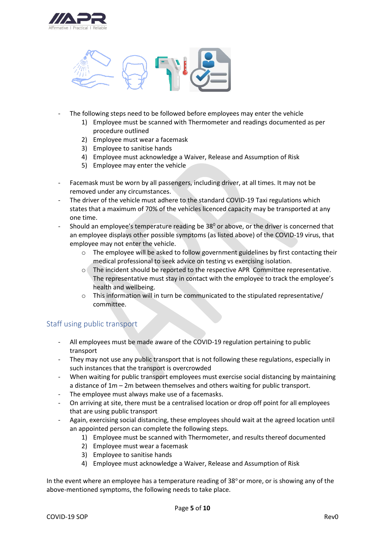



- The following steps need to be followed before employees may enter the vehicle
	- 1) Employee must be scanned with Thermometer and readings documented as per procedure outlined
	- 2) Employee must wear a facemask
	- 3) Employee to sanitise hands
	- 4) Employee must acknowledge a Waiver, Release and Assumption of Risk
	- 5) Employee may enter the vehicle
- Facemask must be worn by all passengers, including driver, at all times. It may not be removed under any circumstances.
- The driver of the vehicle must adhere to the standard COVID-19 Taxi regulations which states that a maximum of 70% of the vehicles licenced capacity may be transported at any one time.
- Should an employee's temperature reading be  $38^{\circ}$  or above, or the driver is concerned that an employee displays other possible symptoms (as listed above) of the COVID-19 virus, that employee may not enter the vehicle.
	- o The employee will be asked to follow government guidelines by first contacting their medical professional to seek advice on testing vs exercising isolation.
	- o The incident should be reported to the respective APR Committee representative. The representative must stay in contact with the employee to track the employee's health and wellbeing.
	- $\circ$  This information will in turn be communicated to the stipulated representative/ committee.

#### <span id="page-5-0"></span>Staff using public transport

- All employees must be made aware of the COVID-19 regulation pertaining to public transport
- They may not use any public transport that is not following these regulations, especially in such instances that the transport is overcrowded
- When waiting for public transport employees must exercise social distancing by maintaining a distance of 1m – 2m between themselves and others waiting for public transport.
- The employee must always make use of a facemasks.
- On arriving at site, there must be a centralised location or drop off point for all employees that are using public transport
- Again, exercising social distancing, these employees should wait at the agreed location until an appointed person can complete the following steps.
	- 1) Employee must be scanned with Thermometer, and results thereof documented
	- 2) Employee must wear a facemask
	- 3) Employee to sanitise hands
	- 4) Employee must acknowledge a Waiver, Release and Assumption of Risk

In the event where an employee has a temperature reading of  $38^{\circ}$  or more, or is showing any of the above-mentioned symptoms, the following needs to take place.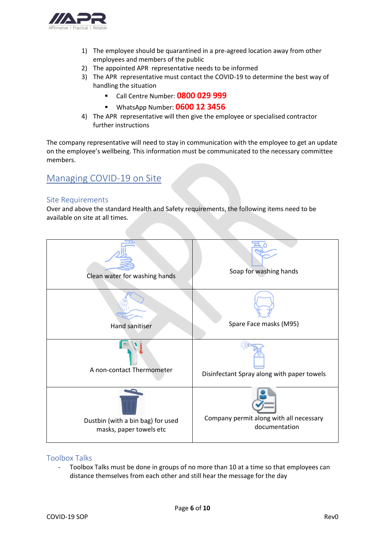

- 1) The employee should be quarantined in a pre-agreed location away from other employees and members of the public
- 2) The appointed APR representative needs to be informed
- 3) The APR representative must contact the COVID-19 to determine the best way of handling the situation
	- Call Centre Number: **0800 029 999**
	- WhatsApp Number: **0600 12 3456**
- 4) The APR representative will then give the employee or specialised contractor further instructions

The company representative will need to stay in communication with the employee to get an update on the employee's wellbeing. This information must be communicated to the necessary committee members.

## <span id="page-6-0"></span>Managing COVID-19 on Site

#### <span id="page-6-1"></span>Site Requirements

Over and above the standard Health and Safety requirements, the following items need to be available on site at all times.



#### <span id="page-6-2"></span>Toolbox Talks

- Toolbox Talks must be done in groups of no more than 10 at a time so that employees can distance themselves from each other and still hear the message for the day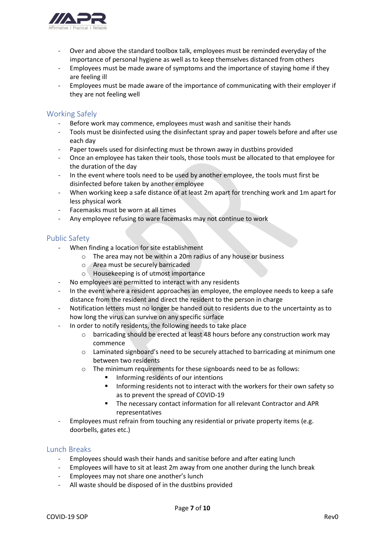

- Over and above the standard toolbox talk, employees must be reminded everyday of the importance of personal hygiene as well as to keep themselves distanced from others
- Employees must be made aware of symptoms and the importance of staying home if they are feeling ill
- Employees must be made aware of the importance of communicating with their employer if they are not feeling well

#### <span id="page-7-0"></span>Working Safely

- Before work may commence, employees must wash and sanitise their hands
- Tools must be disinfected using the disinfectant spray and paper towels before and after use each day
- Paper towels used for disinfecting must be thrown away in dustbins provided
- Once an employee has taken their tools, those tools must be allocated to that employee for the duration of the day
- In the event where tools need to be used by another employee, the tools must first be disinfected before taken by another employee
- When working keep a safe distance of at least 2m apart for trenching work and 1m apart for less physical work
- Facemasks must be worn at all times
- Any employee refusing to ware facemasks may not continue to work

#### <span id="page-7-1"></span>Public Safety

- When finding a location for site establishment
	- o The area may not be within a 20m radius of any house or business
	- o Area must be securely barricaded
	- o Housekeeping is of utmost importance
- No employees are permitted to interact with any residents
- In the event where a resident approaches an employee, the employee needs to keep a safe distance from the resident and direct the resident to the person in charge
- Notification letters must no longer be handed out to residents due to the uncertainty as to how long the virus can survive on any specific surface
- In order to notify residents, the following needs to take place
	- o barricading should be erected at least 48 hours before any construction work may commence
	- o Laminated signboard's need to be securely attached to barricading at minimum one between two residents
	- o The minimum requirements for these signboards need to be as follows:
		- Informing residents of our intentions
		- Informing residents not to interact with the workers for their own safety so as to prevent the spread of COVID-19
		- The necessary contact information for all relevant Contractor and APR representatives
- Employees must refrain from touching any residential or private property items (e.g. doorbells, gates etc.)

#### <span id="page-7-2"></span>Lunch Breaks

- Employees should wash their hands and sanitise before and after eating lunch
- Employees will have to sit at least 2m away from one another during the lunch break
- Employees may not share one another's lunch
- All waste should be disposed of in the dustbins provided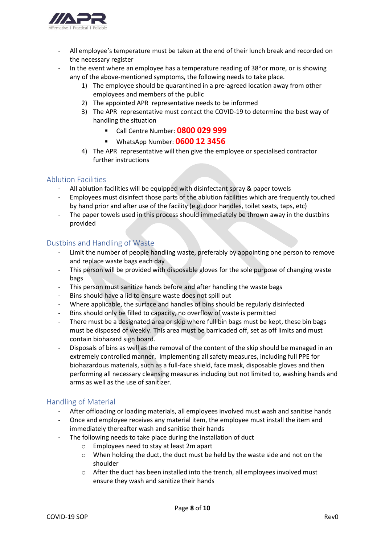

- All employee's temperature must be taken at the end of their lunch break and recorded on the necessary register
- In the event where an employee has a temperature reading of  $38^{\circ}$  or more, or is showing any of the above-mentioned symptoms, the following needs to take place.
	- 1) The employee should be quarantined in a pre-agreed location away from other employees and members of the public
	- 2) The appointed APR representative needs to be informed
	- 3) The APR representative must contact the COVID-19 to determine the best way of handling the situation
		- Call Centre Number: **0800 029 999**
		- WhatsApp Number: **0600 12 3456**
	- 4) The APR representative will then give the employee or specialised contractor further instructions

#### <span id="page-8-0"></span>Ablution Facilities

- All ablution facilities will be equipped with disinfectant spray & paper towels
- Employees must disinfect those parts of the ablution facilities which are frequently touched by hand prior and after use of the facility (e.g. door handles, toilet seats, taps, etc)
- The paper towels used in this process should immediately be thrown away in the dustbins provided

#### <span id="page-8-1"></span>Dustbins and Handling of Waste

- Limit the number of people handling waste, preferably by appointing one person to remove and replace waste bags each day
- This person will be provided with disposable gloves for the sole purpose of changing waste bags
- This person must sanitize hands before and after handling the waste bags
- Bins should have a lid to ensure waste does not spill out
- Where applicable, the surface and handles of bins should be regularly disinfected
- Bins should only be filled to capacity, no overflow of waste is permitted
- There must be a designated area or skip where full bin bags must be kept, these bin bags must be disposed of weekly. This area must be barricaded off, set as off limits and must contain biohazard sign board.
- Disposals of bins as well as the removal of the content of the skip should be managed in an extremely controlled manner. Implementing all safety measures, including full PPE for biohazardous materials, such as a full-face shield, face mask, disposable gloves and then performing all necessary cleansing measures including but not limited to, washing hands and arms as well as the use of sanitizer.

#### <span id="page-8-2"></span>Handling of Material

- After offloading or loading materials, all employees involved must wash and sanitise hands
- Once and employee receives any material item, the employee must install the item and immediately thereafter wash and sanitise their hands
- The following needs to take place during the installation of duct
	- o Employees need to stay at least 2m apart
	- o When holding the duct, the duct must be held by the waste side and not on the shoulder
	- o After the duct has been installed into the trench, all employees involved must ensure they wash and sanitize their hands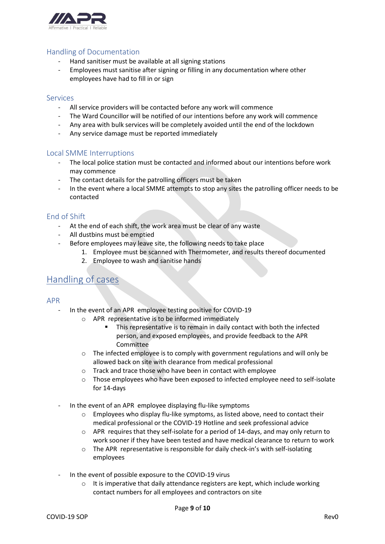

#### <span id="page-9-0"></span>Handling of Documentation

- Hand sanitiser must be available at all signing stations
- Employees must sanitise after signing or filling in any documentation where other employees have had to fill in or sign

#### <span id="page-9-1"></span>Services

- All service providers will be contacted before any work will commence
- The Ward Councillor will be notified of our intentions before any work will commence
- Any area with bulk services will be completely avoided until the end of the lockdown
- Any service damage must be reported immediately

#### <span id="page-9-2"></span>Local SMME Interruptions

- The local police station must be contacted and informed about our intentions before work may commence
- The contact details for the patrolling officers must be taken
- In the event where a local SMME attempts to stop any sites the patrolling officer needs to be contacted

#### <span id="page-9-3"></span>End of Shift

- At the end of each shift, the work area must be clear of any waste
- All dustbins must be emptied
- Before employees may leave site, the following needs to take place
	- 1. Employee must be scanned with Thermometer, and results thereof documented
	- 2. Employee to wash and sanitise hands

### <span id="page-9-4"></span>Handling of cases

#### APR

- In the event of an APR employee testing positive for COVID-19
	- o APR representative is to be informed immediately
		- This representative is to remain in daily contact with both the infected person, and exposed employees, and provide feedback to the APR Committee
	- $\circ$  The infected employee is to comply with government regulations and will only be allowed back on site with clearance from medical professional
	- o Track and trace those who have been in contact with employee
	- $\circ$  Those employees who have been exposed to infected employee need to self-isolate for 14-days
- In the event of an APR employee displaying flu-like symptoms
	- $\circ$  Employees who display flu-like symptoms, as listed above, need to contact their medical professional or the COVID-19 Hotline and seek professional advice
	- $\circ$  APR requires that they self-isolate for a period of 14-days, and may only return to work sooner if they have been tested and have medical clearance to return to work
	- o The APR representative is responsible for daily check-in's with self-isolating employees
- In the event of possible exposure to the COVID-19 virus
	- o It is imperative that daily attendance registers are kept, which include working contact numbers for all employees and contractors on site